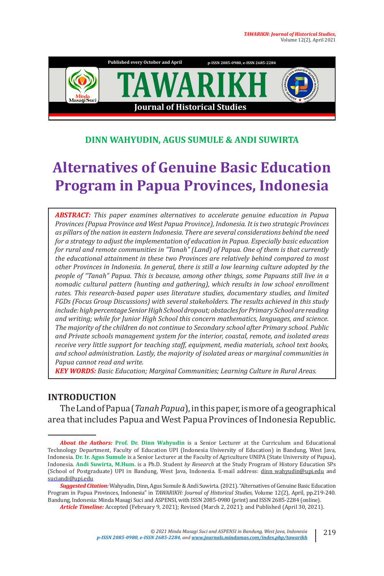

#### **DINN WAHYUDIN, AGUS SUMULE & ANDI SUWIRTA**

# **Alternatives of Genuine Basic Education Program in Papua Provinces, Indonesia**

*ABSTRACT: This paper examines alternatives to accelerate genuine education in Papua Provinces (Papua Province and West Papua Province), Indonesia. It is two strategic Provinces as pillars of the nation in eastern Indonesia. There are several considerations behind the need for a strategy to adjust the implementation of education in Papua. Especially basic education for rural and remote communities in "Tanah" (Land) of Papua. One of them is that currently the educational attainment in these two Provinces are relatively behind compared to most other Provinces in Indonesia. In general, there is still a low learning culture adopted by the people of "Tanah" Papua. This is because, among other things, some Papuans still live in a nomadic cultural pattern (hunting and gathering), which results in low school enrollment rates. This research-based paper uses literature studies, documentary studies, and limited FGDs (Focus Group Discussions) with several stakeholders. The results achieved in this study include: high percentage Senior High School dropout; obstacles for Primary School are reading and writing; while for Junior High School this concern mathematics, languages, and science. The majority of the children do not continue to Secondary school after Primary school. Public and Private schools management system for the interior, coastal, remote, and isolated areas receive very little support for teaching staff, equipment, media materials, school text books, and school administration. Lastly, the majority of isolated areas or marginal communities in Papua cannot read and write.*

*KEY WORDS: Basic Education; Marginal Communities; Learning Culture in Rural Areas.*

#### **INTRODUCTION**

The Land of Papua (*Tanah Papua*), in this paper, is more of a geographical area that includes Papua and West Papua Provinces of Indonesia Republic.

*About the Authors:* **Prof. Dr. Dinn Wahyudin** is a Senior Lecturer at the Curriculum and Educational Technology Department, Faculty of Education UPI (Indonesia University of Education) in Bandung, West Java, Indonesia. **Dr. Ir. Agus Sumule** is a Senior Lecturer at the Faculty of Agriculture UNIPA (State University of Papua), Indonesia. **Andi Suwirta, M.Hum.** is a Ph.D. Student *by Research* at the Study Program of History Education SPs (School of Postgraduate) UPI in Bandung, West Java, Indonesia. E-mail address: dinn\_wahyudin@upi.edu and suciandi@upi.edu

*Suggested Citation:*Wahyudin, Dinn, Agus Sumule & Andi Suwirta. (2021). "Alternatives of Genuine Basic Education Program in Papua Provinces, Indonesia" in *TAWARIKH: Journal of Historical Studies*, Volume 12(2), April, pp.219-240. Bandung, Indonesia: Minda Masagi Suci and ASPENSI, with ISSN 2085-0980 (print) and ISSN 2685-2284 (online).

*Article Timeline:* Accepted (February 9, 2021); Revised (March 2, 2021); and Published (April 30, 2021).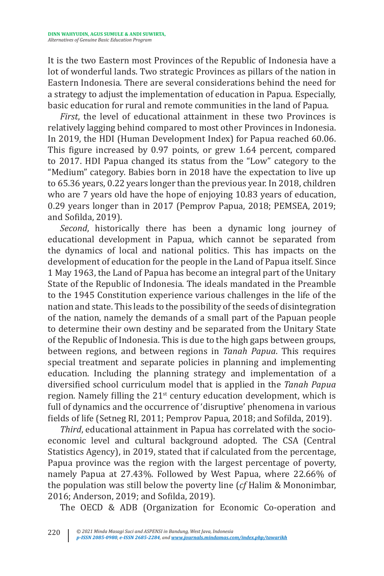It is the two Eastern most Provinces of the Republic of Indonesia have a lot of wonderful lands. Two strategic Provinces as pillars of the nation in Eastern Indonesia. There are several considerations behind the need for a strategy to adjust the implementation of education in Papua. Especially, basic education for rural and remote communities in the land of Papua.

*First*, the level of educational attainment in these two Provinces is relatively lagging behind compared to most other Provinces in Indonesia. In 2019, the HDI (Human Development Index) for Papua reached 60.06. This figure increased by 0.97 points, or grew 1.64 percent, compared to 2017. HDI Papua changed its status from the "Low" category to the "Medium" category. Babies born in 2018 have the expectation to live up to 65.36 years, 0.22 years longer than the previous year. In 2018, children who are 7 years old have the hope of enjoying 10.83 years of education, 0.29 years longer than in 2017 (Pemprov Papua, 2018; PEMSEA, 2019; and Sofilda, 2019).

*Second*, historically there has been a dynamic long journey of educational development in Papua, which cannot be separated from the dynamics of local and national politics. This has impacts on the development of education for the people in the Land of Papua itself. Since 1 May 1963, the Land of Papua has become an integral part of the Unitary State of the Republic of Indonesia. The ideals mandated in the Preamble to the 1945 Constitution experience various challenges in the life of the nation and state. This leads to the possibility of the seeds of disintegration of the nation, namely the demands of a small part of the Papuan people to determine their own destiny and be separated from the Unitary State of the Republic of Indonesia. This is due to the high gaps between groups, between regions, and between regions in *Tanah Papua*. This requires special treatment and separate policies in planning and implementing education. Including the planning strategy and implementation of a diversified school curriculum model that is applied in the *Tanah Papua* region. Namely filling the  $21<sup>st</sup>$  century education development, which is full of dynamics and the occurrence of 'disruptive' phenomena in various fields of life (Setneg RI, 2011; Pemprov Papua, 2018; and Sofilda, 2019).

*Third*, educational attainment in Papua has correlated with the socioeconomic level and cultural background adopted. The CSA (Central Statistics Agency), in 2019, stated that if calculated from the percentage, Papua province was the region with the largest percentage of poverty, namely Papua at 27.43%. Followed by West Papua, where 22.66% of the population was still below the poverty line (*cf* Halim & Mononimbar, 2016; Anderson, 2019; and Sofilda, 2019).

The OECD & ADB (Organization for Economic Co-operation and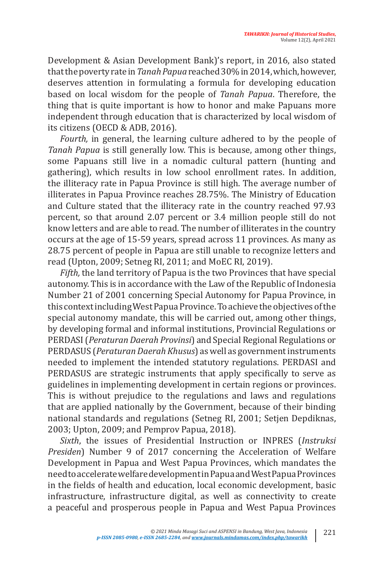Development & Asian Development Bank)'s report, in 2016, also stated that the poverty rate in *Tanah Papua* reached 30% in 2014, which, however, deserves attention in formulating a formula for developing education based on local wisdom for the people of *Tanah Papua*. Therefore, the thing that is quite important is how to honor and make Papuans more independent through education that is characterized by local wisdom of its citizens (OECD & ADB, 2016).

*Fourth,* in general, the learning culture adhered to by the people of *Tanah Papua* is still generally low. This is because, among other things, some Papuans still live in a nomadic cultural pattern (hunting and gathering), which results in low school enrollment rates. In addition, the illiteracy rate in Papua Province is still high. The average number of illiterates in Papua Province reaches 28.75%. The Ministry of Education and Culture stated that the illiteracy rate in the country reached 97.93 percent, so that around 2.07 percent or 3.4 million people still do not know letters and are able to read. The number of illiterates in the country occurs at the age of 15-59 years, spread across 11 provinces. As many as 28.75 percent of people in Papua are still unable to recognize letters and read (Upton, 2009; Setneg RI, 2011; and MoEC RI, 2019).

*Fifth,* the land territory of Papua is the two Provinces that have special autonomy. This is in accordance with the Law of the Republic of Indonesia Number 21 of 2001 concerning Special Autonomy for Papua Province, in this context including West Papua Province. To achieve the objectives of the special autonomy mandate, this will be carried out, among other things, by developing formal and informal institutions, Provincial Regulations or PERDASI (*Peraturan Daerah Provinsi*) and Special Regional Regulations or PERDASUS (*Peraturan Daerah Khusus*) as well as government instruments needed to implement the intended statutory regulations. PERDASI and PERDASUS are strategic instruments that apply specifically to serve as guidelines in implementing development in certain regions or provinces. This is without prejudice to the regulations and laws and regulations that are applied nationally by the Government, because of their binding national standards and regulations (Setneg RI, 2001; Setjen Depdiknas, 2003; Upton, 2009; and Pemprov Papua, 2018).

*Sixth*, the issues of Presidential Instruction or INPRES (*Instruksi Presiden*) Number 9 of 2017 concerning the Acceleration of Welfare Development in Papua and West Papua Provinces, which mandates the need to accelerate welfare development in Papua and West Papua Provinces in the fields of health and education, local economic development, basic infrastructure, infrastructure digital, as well as connectivity to create a peaceful and prosperous people in Papua and West Papua Provinces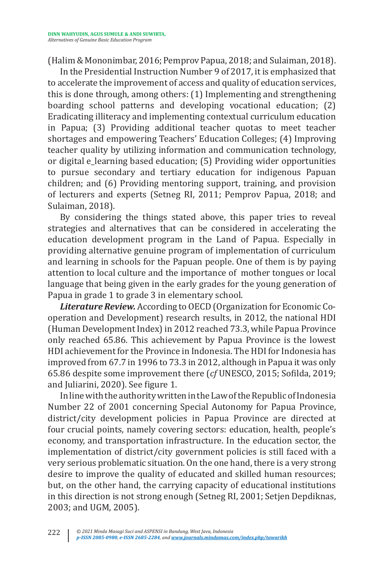(Halim & Mononimbar, 2016; Pemprov Papua, 2018; and Sulaiman, 2018).

In the Presidential Instruction Number 9 of 2017, it is emphasized that to accelerate the improvement of access and quality of education services, this is done through, among others: (1) Implementing and strengthening boarding school patterns and developing vocational education; (2) Eradicating illiteracy and implementing contextual curriculum education in Papua; (3) Providing additional teacher quotas to meet teacher shortages and empowering Teachers' Education Colleges; (4) Improving teacher quality by utilizing information and communication technology, or digital e\_learning based education; (5) Providing wider opportunities to pursue secondary and tertiary education for indigenous Papuan children; and (6) Providing mentoring support, training, and provision of lecturers and experts (Setneg RI, 2011; Pemprov Papua, 2018; and Sulaiman, 2018).

By considering the things stated above, this paper tries to reveal strategies and alternatives that can be considered in accelerating the education development program in the Land of Papua. Especially in providing alternative genuine program of implementation of curriculum and learning in schools for the Papuan people. One of them is by paying attention to local culture and the importance of mother tongues or local language that being given in the early grades for the young generation of Papua in grade 1 to grade 3 in elementary school.

*Literature Review.* According to OECD (Organization for Economic Cooperation and Development) research results, in 2012, the national HDI (Human Development Index) in 2012 reached 73.3, while Papua Province only reached 65.86. This achievement by Papua Province is the lowest HDI achievement for the Province in Indonesia. The HDI for Indonesia has improved from 67.7 in 1996 to 73.3 in 2012, although in Papua it was only 65.86 despite some improvement there (*cf* UNESCO, 2015; Sofilda, 2019; and Juliarini, 2020). See figure 1.

In line with the authority written in the Law of the Republic of Indonesia Number 22 of 2001 concerning Special Autonomy for Papua Province, district/city development policies in Papua Province are directed at four crucial points, namely covering sectors: education, health, people's economy, and transportation infrastructure. In the education sector, the implementation of district/city government policies is still faced with a very serious problematic situation. On the one hand, there is a very strong desire to improve the quality of educated and skilled human resources; but, on the other hand, the carrying capacity of educational institutions in this direction is not strong enough (Setneg RI, 2001; Setjen Depdiknas, 2003; and UGM, 2005).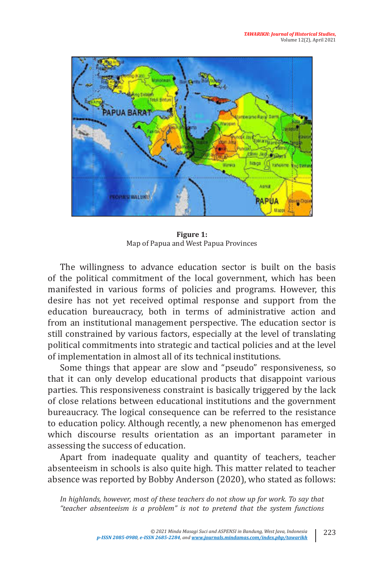

**Figure 1:**  Map of Papua and West Papua Provinces

The willingness to advance education sector is built on the basis of the political commitment of the local government, which has been manifested in various forms of policies and programs. However, this desire has not yet received optimal response and support from the education bureaucracy, both in terms of administrative action and from an institutional management perspective. The education sector is still constrained by various factors, especially at the level of translating political commitments into strategic and tactical policies and at the level of implementation in almost all of its technical institutions.

Some things that appear are slow and "pseudo" responsiveness, so that it can only develop educational products that disappoint various parties. This responsiveness constraint is basically triggered by the lack of close relations between educational institutions and the government bureaucracy. The logical consequence can be referred to the resistance to education policy. Although recently, a new phenomenon has emerged which discourse results orientation as an important parameter in assessing the success of education.

Apart from inadequate quality and quantity of teachers, teacher absenteeism in schools is also quite high. This matter related to teacher absence was reported by Bobby Anderson (2020), who stated as follows:

In highlands, however, most of these teachers do not show up for work. To say that *"teacher absenteeism is a problem" is not to pretend that the system functions*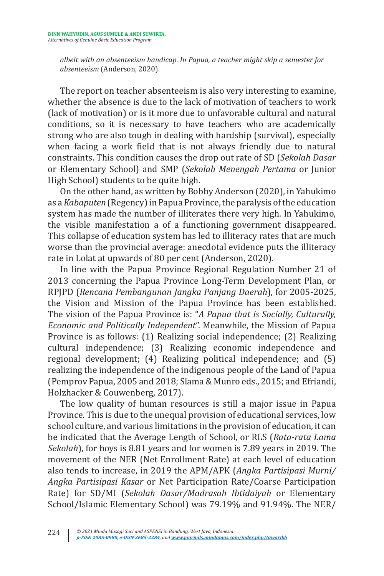*albeit with an absenteeism handicap. In Papua, a teacher might skip a semester for absenteeism* (Anderson, 2020).

The report on teacher absenteeism is also very interesting to examine, whether the absence is due to the lack of motivation of teachers to work (lack of motivation) or is it more due to unfavorable cultural and natural conditions, so it is necessary to have teachers who are academically strong who are also tough in dealing with hardship (survival), especially when facing a work field that is not always friendly due to natural constraints. This condition causes the drop out rate of SD (*Sekolah Dasar* or Elementary School) and SMP (*Sekolah Menengah Pertama* or Junior High School) students to be quite high.

On the other hand, as written by Bobby Anderson (2020), in Yahukimo as a *Kabaputen* (Regency) in Papua Province, the paralysis of the education system has made the number of illiterates there very high. In Yahukimo, the visible manifestation a of a functioning government disappeared. This collapse of education system has led to illiteracy rates that are much worse than the provincial average: anecdotal evidence puts the illiteracy rate in Lolat at upwards of 80 per cent (Anderson, 2020).

In line with the Papua Province Regional Regulation Number 21 of 2013 concerning the Papua Province Long-Term Development Plan, or RPJPD (*Rencana Pembangunan Jangka Panjang Daerah*), for 2005-2025, the Vision and Mission of the Papua Province has been established. The vision of the Papua Province is: "*A Papua that is Socially, Culturally, Economic and Politically Independent*". Meanwhile, the Mission of Papua Province is as follows: (1) Realizing social independence; (2) Realizing cultural independence; (3) Realizing economic independence and regional development; (4) Realizing political independence; and (5) realizing the independence of the indigenous people of the Land of Papua (Pemprov Papua, 2005 and 2018; Slama & Munro eds., 2015; and Efriandi, Holzhacker & Couwenberg, 2017).

The low quality of human resources is still a major issue in Papua Province. This is due to the unequal provision of educational services, low school culture, and various limitations in the provision of education, it can be indicated that the Average Length of School, or RLS (*Rata-rata Lama Sekolah*), for boys is 8.81 years and for women is 7.89 years in 2019. The movement of the NER (Net Enrollment Rate) at each level of education also tends to increase, in 2019 the APM/APK (*Angka Partisipasi Murni/ Angka Partisipasi Kasar* or Net Participation Rate/Coarse Participation Rate) for SD/MI (*Sekolah Dasar/Madrasah Ibtidaiyah* or Elementary School/Islamic Elementary School) was 79.19% and 91.94%. The NER/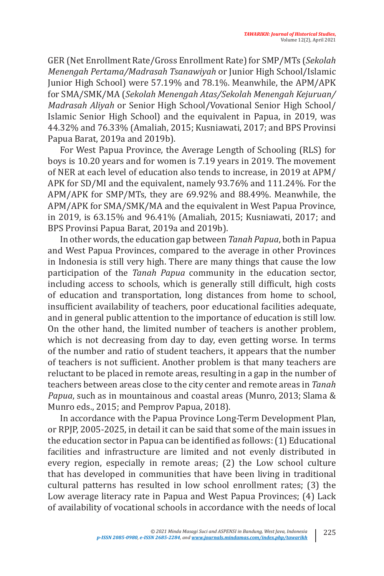GER (Net Enrollment Rate/Gross Enrollment Rate) for SMP/MTs (*Sekolah Menengah Pertama/Madrasah Tsanawiyah* or Junior High School/Islamic Junior High School) were 57.19% and 78.1%. Meanwhile, the APM/APK for SMA/SMK/MA (*Sekolah Menengah Atas/Sekolah Menengah Kejuruan/ Madrasah Aliyah* or Senior High School/Vovational Senior High School/ Islamic Senior High School) and the equivalent in Papua, in 2019, was 44.32% and 76.33% (Amaliah, 2015; Kusniawati, 2017; and BPS Provinsi Papua Barat, 2019a and 2019b).

For West Papua Province, the Average Length of Schooling (RLS) for boys is 10.20 years and for women is 7.19 years in 2019. The movement of NER at each level of education also tends to increase, in 2019 at APM/ APK for SD/MI and the equivalent, namely 93.76% and 111.24%. For the APM/APK for SMP/MTs, they are 69.92% and 88.49%. Meanwhile, the APM/APK for SMA/SMK/MA and the equivalent in West Papua Province, in 2019, is 63.15% and 96.41% (Amaliah, 2015; Kusniawati, 2017; and BPS Provinsi Papua Barat, 2019a and 2019b).

In other words, the education gap between *Tanah Papua*, both in Papua and West Papua Provinces, compared to the average in other Provinces in Indonesia is still very high. There are many things that cause the low participation of the *Tanah Papua* community in the education sector, including access to schools, which is generally still difficult, high costs of education and transportation, long distances from home to school, insufficient availability of teachers, poor educational facilities adequate, and in general public attention to the importance of education is still low. On the other hand, the limited number of teachers is another problem, which is not decreasing from day to day, even getting worse. In terms of the number and ratio of student teachers, it appears that the number of teachers is not sufficient. Another problem is that many teachers are reluctant to be placed in remote areas, resulting in a gap in the number of teachers between areas close to the city center and remote areas in *Tanah Papua*, such as in mountainous and coastal areas (Munro, 2013; Slama & Munro eds., 2015; and Pemprov Papua, 2018).

In accordance with the Papua Province Long-Term Development Plan, or RPJP, 2005-2025, in detail it can be said that some of the main issues in the education sector in Papua can be identified as follows: (1) Educational facilities and infrastructure are limited and not evenly distributed in every region, especially in remote areas; (2) the Low school culture that has developed in communities that have been living in traditional cultural patterns has resulted in low school enrollment rates; (3) the Low average literacy rate in Papua and West Papua Provinces; (4) Lack of availability of vocational schools in accordance with the needs of local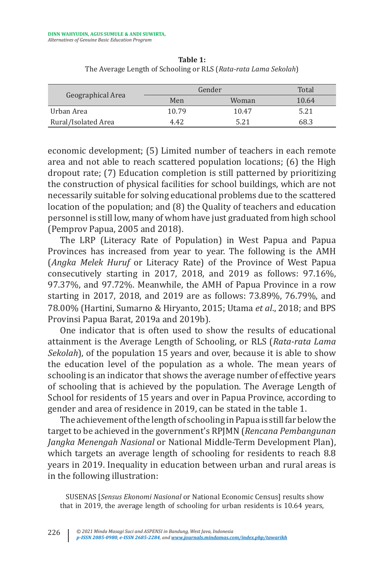| Geographical Area   | Gender |       | Total |
|---------------------|--------|-------|-------|
|                     | Men    | Woman | 10.64 |
| Urban Area          | 10.79  | 10.47 | 5.21  |
| Rural/Isolated Area | 4.42   | 5.21  | 68.3  |

**Table 1:**  The Average Length of Schooling or RLS (*Rata-rata Lama Sekolah*)

economic development; (5) Limited number of teachers in each remote area and not able to reach scattered population locations; (6) the High dropout rate; (7) Education completion is still patterned by prioritizing the construction of physical facilities for school buildings, which are not necessarily suitable for solving educational problems due to the scattered location of the population; and (8) the Quality of teachers and education personnel is still low, many of whom have just graduated from high school (Pemprov Papua, 2005 and 2018).

The LRP (Literacy Rate of Population) in West Papua and Papua Provinces has increased from year to year. The following is the AMH (*Angka Melek Huruf* or Literacy Rate) of the Province of West Papua consecutively starting in 2017, 2018, and 2019 as follows: 97.16%, 97.37%, and 97.72%. Meanwhile, the AMH of Papua Province in a row starting in 2017, 2018, and 2019 are as follows: 73.89%, 76.79%, and 78.00% (Hartini, Sumarno & Hiryanto, 2015; Utama *et al*., 2018; and BPS Provinsi Papua Barat, 2019a and 2019b).

One indicator that is often used to show the results of educational attainment is the Average Length of Schooling, or RLS (*Rata-rata Lama Sekolah*), of the population 15 years and over, because it is able to show the education level of the population as a whole. The mean years of schooling is an indicator that shows the average number of effective years of schooling that is achieved by the population. The Average Length of School for residents of 15 years and over in Papua Province, according to gender and area of residence in 2019, can be stated in the table 1.

The achievement of the length of schooling in Papua is still far below the target to be achieved in the government's RPJMN (*Rencana Pembangunan Jangka Menengah Nasional* or National Middle-Term Development Plan), which targets an average length of schooling for residents to reach 8.8 years in 2019. Inequality in education between urban and rural areas is in the following illustration:

SUSENAS [*Sensus Ekonomi Nasional* or National Economic Census] results show that in 2019, the average length of schooling for urban residents is 10.64 years,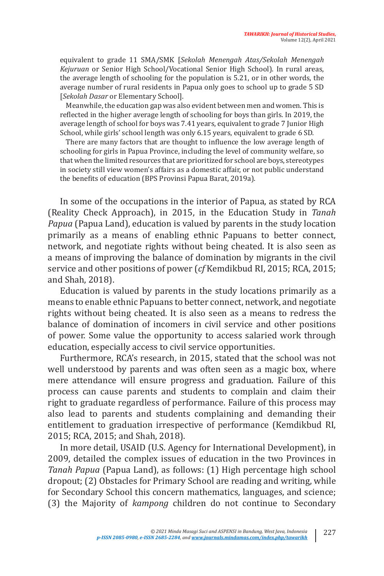equivalent to grade 11 SMA/SMK [*Sekolah Menengah Atas/Sekolah Menengah Kejuruan* or Senior High School/Vocational Senior High School). In rural areas, the average length of schooling for the population is 5.21, or in other words, the average number of rural residents in Papua only goes to school up to grade 5 SD [*Sekolah Dasar* or Elementary School].

Meanwhile, the education gap was also evident between men and women. This is reflected in the higher average length of schooling for boys than girls. In 2019, the average length of school for boys was 7.41 years, equivalent to grade 7 Junior High School, while girls' school length was only 6.15 years, equivalent to grade 6 SD.

There are many factors that are thought to influence the low average length of schooling for girls in Papua Province, including the level of community welfare, so that when the limited resources that are prioritized for school are boys, stereotypes in society still view women's affairs as a domestic affair, or not public understand the benefits of education (BPS Provinsi Papua Barat, 2019a).

In some of the occupations in the interior of Papua, as stated by RCA (Reality Check Approach), in 2015, in the Education Study in *Tanah Papua* (Papua Land), education is valued by parents in the study location primarily as a means of enabling ethnic Papuans to better connect, network, and negotiate rights without being cheated. It is also seen as a means of improving the balance of domination by migrants in the civil service and other positions of power (*cf* Kemdikbud RI, 2015; RCA, 2015; and Shah, 2018).

Education is valued by parents in the study locations primarily as a means to enable ethnic Papuans to better connect, network, and negotiate rights without being cheated. It is also seen as a means to redress the balance of domination of incomers in civil service and other positions of power. Some value the opportunity to access salaried work through education, especially access to civil service opportunities.

Furthermore, RCA's research, in 2015, stated that the school was not well understood by parents and was often seen as a magic box, where mere attendance will ensure progress and graduation. Failure of this process can cause parents and students to complain and claim their right to graduate regardless of performance. Failure of this process may also lead to parents and students complaining and demanding their entitlement to graduation irrespective of performance (Kemdikbud RI, 2015; RCA, 2015; and Shah, 2018).

In more detail, USAID (U.S. Agency for International Development), in 2009, detailed the complex issues of education in the two Provinces in *Tanah Papua* (Papua Land), as follows: (1) High percentage high school dropout; (2) Obstacles for Primary School are reading and writing, while for Secondary School this concern mathematics, languages, and science; (3) the Majority of *kampong* children do not continue to Secondary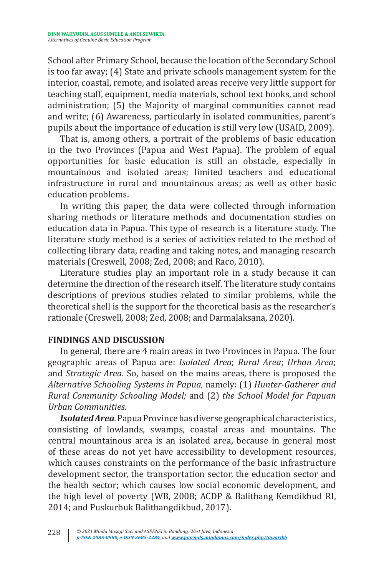School after Primary School, because the location of the Secondary School is too far away; (4) State and private schools management system for the interior, coastal, remote, and isolated areas receive very little support for teaching staff, equipment, media materials, school text books, and school administration; (5) the Majority of marginal communities cannot read and write; (6) Awareness, particularly in isolated communities, parent's pupils about the importance of education is still very low (USAID, 2009).

That is, among others, a portrait of the problems of basic education in the two Provinces (Papua and West Papua). The problem of equal opportunities for basic education is still an obstacle, especially in mountainous and isolated areas; limited teachers and educational infrastructure in rural and mountainous areas; as well as other basic education problems.

In writing this paper, the data were collected through information sharing methods or literature methods and documentation studies on education data in Papua. This type of research is a literature study. The literature study method is a series of activities related to the method of collecting library data, reading and taking notes, and managing research materials (Creswell, 2008; Zed, 2008; and Raco, 2010).

Literature studies play an important role in a study because it can determine the direction of the research itself. The literature study contains descriptions of previous studies related to similar problems, while the theoretical shell is the support for the theoretical basis as the researcher's rationale (Creswell, 2008; Zed, 2008; and Darmalaksana, 2020).

### **FINDINGS AND DISCUSSION**

In general, there are 4 main areas in two Provinces in Papua. The four geographic areas of Papua are: *Isolated Area*; *Rural Area*; *Urban Area*; and *Strategic Area*. So, based on the mains areas, there is proposed the *Alternative Schooling Systems in Papua,* namely: (1) *Hunter-Gatherer and Rural Community Schooling Model;* and (2) *the School Model for Papuan Urban Communities*.

*Isolated Area.* Papua Province has diverse geographical characteristics, consisting of lowlands, swamps, coastal areas and mountains. The central mountainous area is an isolated area, because in general most of these areas do not yet have accessibility to development resources, which causes constraints on the performance of the basic infrastructure development sector, the transportation sector, the education sector and the health sector; which causes low social economic development, and the high level of poverty (WB, 2008; ACDP & Balitbang Kemdikbud RI, 2014; and Puskurbuk Balitbangdikbud, 2017).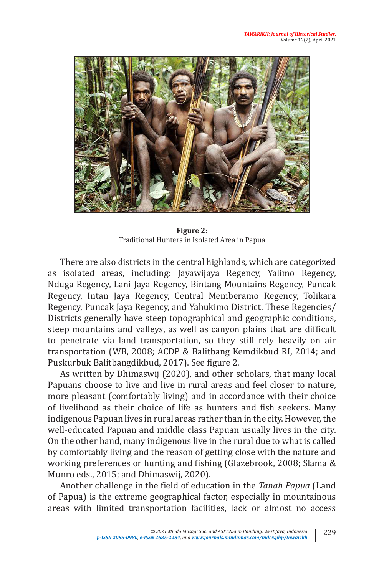

**Figure 2:** Traditional Hunters in Isolated Area in Papua

There are also districts in the central highlands, which are categorized as isolated areas, including: Jayawijaya Regency, Yalimo Regency, Nduga Regency, Lani Jaya Regency, Bintang Mountains Regency, Puncak Regency, Intan Jaya Regency, Central Memberamo Regency, Tolikara Regency, Puncak Jaya Regency, and Yahukimo District. These Regencies/ Districts generally have steep topographical and geographic conditions, steep mountains and valleys, as well as canyon plains that are difficult to penetrate via land transportation, so they still rely heavily on air transportation (WB, 2008; ACDP & Balitbang Kemdikbud RI, 2014; and Puskurbuk Balitbangdikbud, 2017). See figure 2.

As written by Dhimaswij (2020), and other scholars, that many local Papuans choose to live and live in rural areas and feel closer to nature, more pleasant (comfortably living) and in accordance with their choice of livelihood as their choice of life as hunters and fish seekers. Many indigenous Papuan lives in rural areas rather than in the city. However, the well-educated Papuan and middle class Papuan usually lives in the city. On the other hand, many indigenous live in the rural due to what is called by comfortably living and the reason of getting close with the nature and working preferences or hunting and fishing (Glazebrook, 2008; Slama & Munro eds., 2015; and Dhimaswij, 2020).

Another challenge in the field of education in the *Tanah Papua* (Land of Papua) is the extreme geographical factor, especially in mountainous areas with limited transportation facilities, lack or almost no access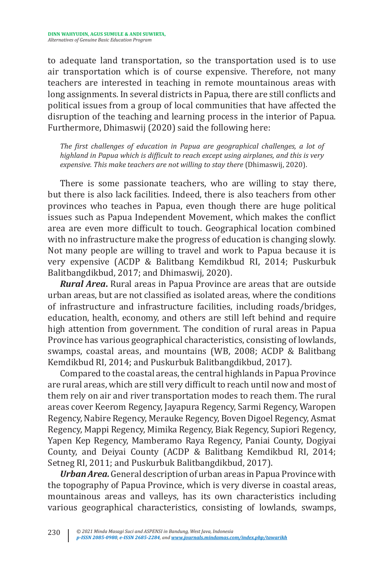to adequate land transportation, so the transportation used is to use air transportation which is of course expensive. Therefore, not many teachers are interested in teaching in remote mountainous areas with long assignments. In several districts in Papua, there are still conflicts and political issues from a group of local communities that have affected the disruption of the teaching and learning process in the interior of Papua. Furthermore, Dhimaswij (2020) said the following here:

*The first challenges of education in Papua are geographical challenges, a lot of highland in Papua which is difficult to reach except using airplanes, and this is very expensive. This make teachers are not willing to stay there* (Dhimaswij, 2020).

There is some passionate teachers, who are willing to stay there, but there is also lack facilities. Indeed, there is also teachers from other provinces who teaches in Papua, even though there are huge political issues such as Papua Independent Movement, which makes the conflict area are even more difficult to touch. Geographical location combined with no infrastructure make the progress of education is changing slowly. Not many people are willing to travel and work to Papua because it is very expensive (ACDP & Balitbang Kemdikbud RI, 2014; Puskurbuk Balitbangdikbud, 2017; and Dhimaswij, 2020).

*Rural Area***.** Rural areas in Papua Province are areas that are outside urban areas, but are not classified as isolated areas, where the conditions of infrastructure and infrastructure facilities, including roads/bridges, education, health, economy, and others are still left behind and require high attention from government. The condition of rural areas in Papua Province has various geographical characteristics, consisting of lowlands, swamps, coastal areas, and mountains (WB, 2008; ACDP & Balitbang Kemdikbud RI, 2014; and Puskurbuk Balitbangdikbud, 2017).

Compared to the coastal areas, the central highlands in Papua Province are rural areas, which are still very difficult to reach until now and most of them rely on air and river transportation modes to reach them. The rural areas cover Keerom Regency, Jayapura Regency, Sarmi Regency, Waropen Regency, Nabire Regency, Merauke Regency, Boven Digoel Regency, Asmat Regency, Mappi Regency, Mimika Regency, Biak Regency, Supiori Regency, Yapen Kep Regency, Mamberamo Raya Regency, Paniai County, Dogiyai County, and Deiyai County (ACDP & Balitbang Kemdikbud RI, 2014; Setneg RI, 2011; and Puskurbuk Balitbangdikbud, 2017).

*Urban Area.* General description of urban areas in Papua Province with the topography of Papua Province, which is very diverse in coastal areas, mountainous areas and valleys, has its own characteristics including various geographical characteristics, consisting of lowlands, swamps,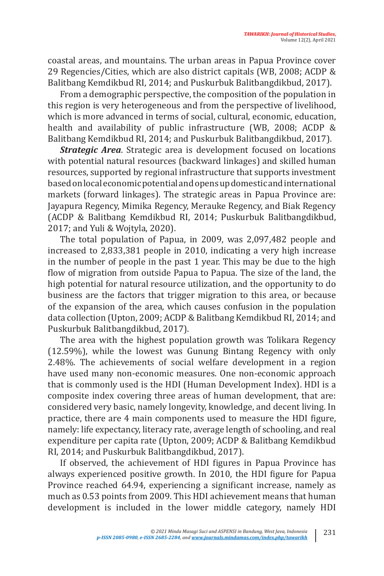coastal areas, and mountains. The urban areas in Papua Province cover 29 Regencies/Cities, which are also district capitals (WB, 2008; ACDP & Balitbang Kemdikbud RI, 2014; and Puskurbuk Balitbangdikbud, 2017).

From a demographic perspective, the composition of the population in this region is very heterogeneous and from the perspective of livelihood, which is more advanced in terms of social, cultural, economic, education, health and availability of public infrastructure (WB, 2008; ACDP & Balitbang Kemdikbud RI, 2014; and Puskurbuk Balitbangdikbud, 2017).

*Strategic Area*. Strategic area is development focused on locations with potential natural resources (backward linkages) and skilled human resources, supported by regional infrastructure that supports investment based on local economic potential and opens up domestic and international markets (forward linkages). The strategic areas in Papua Province are: Jayapura Regency, Mimika Regency, Merauke Regency, and Biak Regency (ACDP & Balitbang Kemdikbud RI, 2014; Puskurbuk Balitbangdikbud, 2017; and Yuli & Wojtyla, 2020).

The total population of Papua, in 2009, was 2,097,482 people and increased to 2,833,381 people in 2010, indicating a very high increase in the number of people in the past 1 year. This may be due to the high flow of migration from outside Papua to Papua. The size of the land, the high potential for natural resource utilization, and the opportunity to do business are the factors that trigger migration to this area, or because of the expansion of the area, which causes confusion in the population data collection (Upton, 2009; ACDP & Balitbang Kemdikbud RI, 2014; and Puskurbuk Balitbangdikbud, 2017).

The area with the highest population growth was Tolikara Regency (12.59%), while the lowest was Gunung Bintang Regency with only 2.48%. The achievements of social welfare development in a region have used many non-economic measures. One non-economic approach that is commonly used is the HDI (Human Development Index). HDI is a composite index covering three areas of human development, that are: considered very basic, namely longevity, knowledge, and decent living. In practice, there are 4 main components used to measure the HDI figure, namely: life expectancy, literacy rate, average length of schooling, and real expenditure per capita rate (Upton, 2009; ACDP & Balitbang Kemdikbud RI, 2014; and Puskurbuk Balitbangdikbud, 2017).

If observed, the achievement of HDI figures in Papua Province has always experienced positive growth. In 2010, the HDI figure for Papua Province reached 64.94, experiencing a significant increase, namely as much as 0.53 points from 2009. This HDI achievement means that human development is included in the lower middle category, namely HDI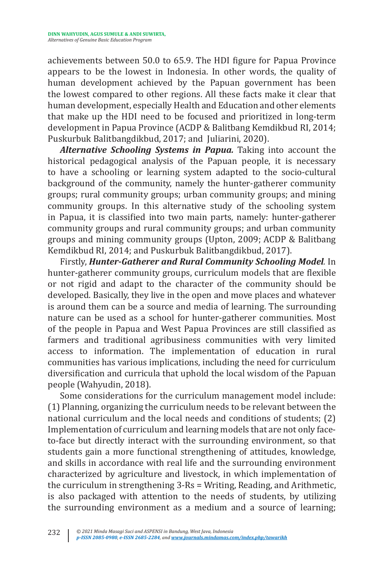achievements between 50.0 to 65.9. The HDI figure for Papua Province appears to be the lowest in Indonesia. In other words, the quality of human development achieved by the Papuan government has been the lowest compared to other regions. All these facts make it clear that human development, especially Health and Education and other elements that make up the HDI need to be focused and prioritized in long-term development in Papua Province (ACDP & Balitbang Kemdikbud RI, 2014; Puskurbuk Balitbangdikbud, 2017; and Juliarini, 2020).

*Alternative Schooling Systems in Papua.* Taking into account the historical pedagogical analysis of the Papuan people, it is necessary to have a schooling or learning system adapted to the socio-cultural background of the community, namely the hunter-gatherer community groups; rural community groups; urban community groups; and mining community groups. In this alternative study of the schooling system in Papua, it is classified into two main parts, namely: hunter-gatherer community groups and rural community groups; and urban community groups and mining community groups (Upton, 2009; ACDP & Balitbang Kemdikbud RI, 2014; and Puskurbuk Balitbangdikbud, 2017).

Firstly, *Hunter-Gatherer and Rural Community Schooling Model.* In hunter-gatherer community groups, curriculum models that are flexible or not rigid and adapt to the character of the community should be developed. Basically, they live in the open and move places and whatever is around them can be a source and media of learning. The surrounding nature can be used as a school for hunter-gatherer communities. Most of the people in Papua and West Papua Provinces are still classified as farmers and traditional agribusiness communities with very limited access to information. The implementation of education in rural communities has various implications, including the need for curriculum diversification and curricula that uphold the local wisdom of the Papuan people (Wahyudin, 2018).

Some considerations for the curriculum management model include: (1) Planning, organizing the curriculum needs to be relevant between the national curriculum and the local needs and conditions of students; (2) Implementation of curriculum and learning models that are not only faceto-face but directly interact with the surrounding environment, so that students gain a more functional strengthening of attitudes, knowledge, and skills in accordance with real life and the surrounding environment characterized by agriculture and livestock, in which implementation of the curriculum in strengthening 3-Rs = Writing, Reading, and Arithmetic, is also packaged with attention to the needs of students, by utilizing the surrounding environment as a medium and a source of learning;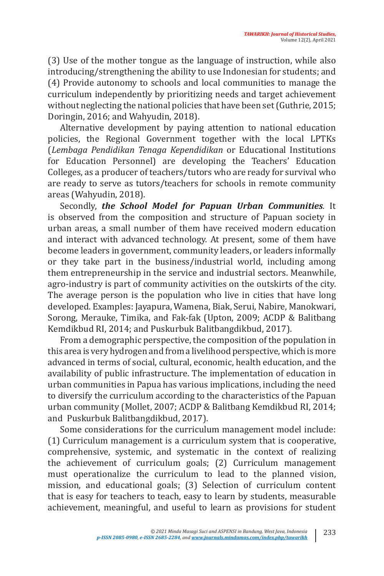(3) Use of the mother tongue as the language of instruction, while also introducing/strengthening the ability to use Indonesian for students; and (4) Provide autonomy to schools and local communities to manage the curriculum independently by prioritizing needs and target achievement without neglecting the national policies that have been set (Guthrie, 2015; Doringin, 2016; and Wahyudin, 2018).

Alternative development by paying attention to national education policies, the Regional Government together with the local LPTKs (*Lembaga Pendidikan Tenaga Kependidikan* or Educational Institutions for Education Personnel) are developing the Teachers' Education Colleges, as a producer of teachers/tutors who are ready for survival who are ready to serve as tutors/teachers for schools in remote community areas (Wahyudin, 2018).

Secondly, *the School Model for Papuan Urban Communities.* It is observed from the composition and structure of Papuan society in urban areas, a small number of them have received modern education and interact with advanced technology. At present, some of them have become leaders in government, community leaders, or leaders informally or they take part in the business/industrial world, including among them entrepreneurship in the service and industrial sectors. Meanwhile, agro-industry is part of community activities on the outskirts of the city. The average person is the population who live in cities that have long developed. Examples: Jayapura, Wamena, Biak, Serui, Nabire, Manokwari, Sorong, Merauke, Timika, and Fak-fak (Upton, 2009; ACDP & Balitbang Kemdikbud RI, 2014; and Puskurbuk Balitbangdikbud, 2017).

From a demographic perspective, the composition of the population in this area is very hydrogen and from a livelihood perspective, which is more advanced in terms of social, cultural, economic, health education, and the availability of public infrastructure. The implementation of education in urban communities in Papua has various implications, including the need to diversify the curriculum according to the characteristics of the Papuan urban community (Mollet, 2007; ACDP & Balitbang Kemdikbud RI, 2014; and Puskurbuk Balitbangdikbud, 2017).

Some considerations for the curriculum management model include: (1) Curriculum management is a curriculum system that is cooperative, comprehensive, systemic, and systematic in the context of realizing the achievement of curriculum goals; (2) Curriculum management must operationalize the curriculum to lead to the planned vision, mission, and educational goals; (3) Selection of curriculum content that is easy for teachers to teach, easy to learn by students, measurable achievement, meaningful, and useful to learn as provisions for student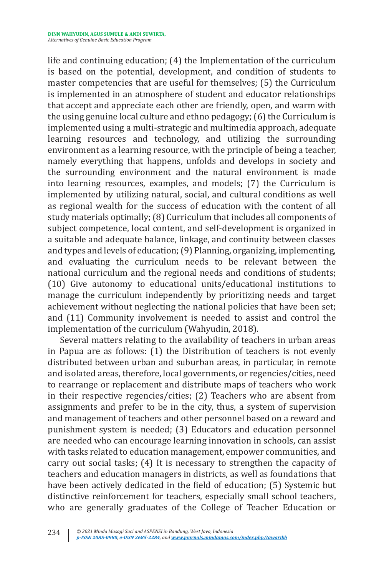life and continuing education; (4) the Implementation of the curriculum is based on the potential, development, and condition of students to master competencies that are useful for themselves; (5) the Curriculum is implemented in an atmosphere of student and educator relationships that accept and appreciate each other are friendly, open, and warm with the using genuine local culture and ethno pedagogy; (6) the Curriculum is implemented using a multi-strategic and multimedia approach, adequate learning resources and technology, and utilizing the surrounding environment as a learning resource, with the principle of being a teacher, namely everything that happens, unfolds and develops in society and the surrounding environment and the natural environment is made into learning resources, examples, and models; (7) the Curriculum is implemented by utilizing natural, social, and cultural conditions as well as regional wealth for the success of education with the content of all study materials optimally; (8) Curriculum that includes all components of subject competence, local content, and self-development is organized in a suitable and adequate balance, linkage, and continuity between classes and types and levels of education; (9) Planning, organizing, implementing, and evaluating the curriculum needs to be relevant between the national curriculum and the regional needs and conditions of students; (10) Give autonomy to educational units/educational institutions to manage the curriculum independently by prioritizing needs and target achievement without neglecting the national policies that have been set; and (11) Community involvement is needed to assist and control the implementation of the curriculum (Wahyudin, 2018).

Several matters relating to the availability of teachers in urban areas in Papua are as follows: (1) the Distribution of teachers is not evenly distributed between urban and suburban areas, in particular, in remote and isolated areas, therefore, local governments, or regencies/cities, need to rearrange or replacement and distribute maps of teachers who work in their respective regencies/cities; (2) Teachers who are absent from assignments and prefer to be in the city, thus, a system of supervision and management of teachers and other personnel based on a reward and punishment system is needed; (3) Educators and education personnel are needed who can encourage learning innovation in schools, can assist with tasks related to education management, empower communities, and carry out social tasks; (4) It is necessary to strengthen the capacity of teachers and education managers in districts, as well as foundations that have been actively dedicated in the field of education; (5) Systemic but distinctive reinforcement for teachers, especially small school teachers, who are generally graduates of the College of Teacher Education or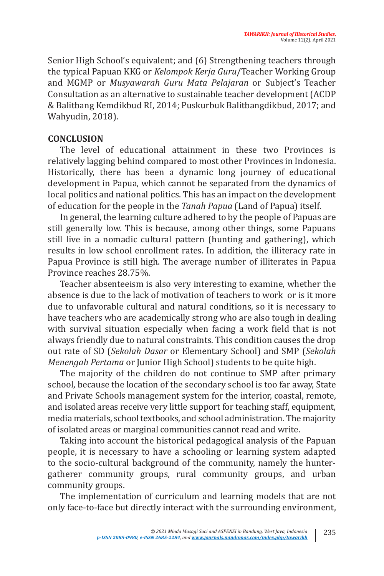Senior High School's equivalent; and (6) Strengthening teachers through the typical Papuan KKG or *Kelompok Kerja Guru*/Teacher Working Group and MGMP or *Musyawarah Guru Mata Pelajaran* or Subject's Teacher Consultation as an alternative to sustainable teacher development (ACDP & Balitbang Kemdikbud RI, 2014; Puskurbuk Balitbangdikbud, 2017; and Wahyudin, 2018).

#### **CONCLUSION**

The level of educational attainment in these two Provinces is relatively lagging behind compared to most other Provinces in Indonesia. Historically, there has been a dynamic long journey of educational development in Papua, which cannot be separated from the dynamics of local politics and national politics. This has an impact on the development of education for the people in the *Tanah Papua* (Land of Papua) itself.

In general, the learning culture adhered to by the people of Papuas are still generally low. This is because, among other things, some Papuans still live in a nomadic cultural pattern (hunting and gathering), which results in low school enrollment rates. In addition, the illiteracy rate in Papua Province is still high. The average number of illiterates in Papua Province reaches 28.75%.

Teacher absenteeism is also very interesting to examine, whether the absence is due to the lack of motivation of teachers to work or is it more due to unfavorable cultural and natural conditions, so it is necessary to have teachers who are academically strong who are also tough in dealing with survival situation especially when facing a work field that is not always friendly due to natural constraints. This condition causes the drop out rate of SD (*Sekolah Dasar* or Elementary School) and SMP (*Sekolah Menengah Pertama* or Junior High School) students to be quite high.

The majority of the children do not continue to SMP after primary school, because the location of the secondary school is too far away, State and Private Schools management system for the interior, coastal, remote, and isolated areas receive very little support for teaching staff, equipment, media materials, school textbooks, and school administration. The majority of isolated areas or marginal communities cannot read and write.

Taking into account the historical pedagogical analysis of the Papuan people, it is necessary to have a schooling or learning system adapted to the socio-cultural background of the community, namely the huntergatherer community groups, rural community groups, and urban community groups.

The implementation of curriculum and learning models that are not only face-to-face but directly interact with the surrounding environment,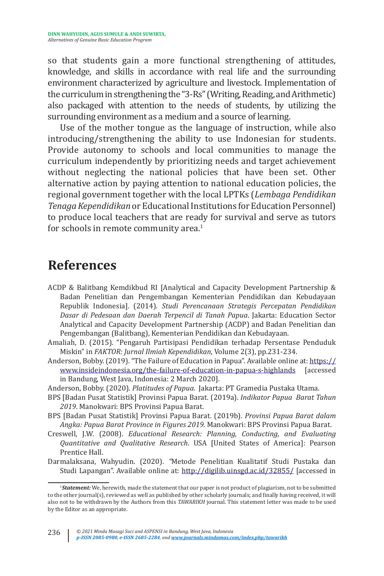so that students gain a more functional strengthening of attitudes, knowledge, and skills in accordance with real life and the surrounding environment characterized by agriculture and livestock. Implementation of the curriculum in strengthening the "3-Rs" (Writing, Reading, and Arithmetic) also packaged with attention to the needs of students, by utilizing the surrounding environment as a medium and a source of learning.

Use of the mother tongue as the language of instruction, while also introducing/strengthening the ability to use Indonesian for students. Provide autonomy to schools and local communities to manage the curriculum independently by prioritizing needs and target achievement without neglecting the national policies that have been set. Other alternative action by paying attention to national education policies, the regional government together with the local LPTKs (*Lembaga Pendidikan Tenaga Kependidikan* or Educational Institutions for Education Personnel) to produce local teachers that are ready for survival and serve as tutors for schools in remote community area.<sup>1</sup>

## **References**

- ACDP & Balitbang Kemdikbud RI [Analytical and Capacity Development Partnership & Badan Penelitian dan Pengembangan Kementerian Pendidikan dan Kebudayaan Republik Indonesia]. (2014). *Studi Perencanaan Strategis Percepatan Pendidikan Dasar di Pedesaan dan Daerah Terpencil di Tanah Papua*. Jakarta: Education Sector Analytical and Capacity Development Partnership (ACDP) and Badan Penelitian dan Pengembangan (Balitbang), Kementerian Pendidikan dan Kebudayaan.
- Amaliah, D. (2015). "Pengaruh Partisipasi Pendidikan terhadap Persentase Penduduk Miskin" in *FAKTOR: Jurnal Ilmiah Kependidikan*, Volume 2(3), pp.231-234.
- Anderson, Bobby. (2019). "The Failure of Education in Papua". Available online at: https://<br>www.insideindonesia.org/the-failure-of-education-in-papua-s-highlands [accessed] www.insideindonesia.org/the-failure-of-education-in-papua-s-highlands in Bandung, West Java, Indonesia: 2 March 2020].

Anderson, Bobby. (2020). *Platitudes of Papua*. Jakarta: PT Gramedia Pustaka Utama.

- BPS [Badan Pusat Statistik] Provinsi Papua Barat. (2019a). *Indikator Papua Barat Tahun 2019*. Manokwari: BPS Provinsi Papua Barat.
- BPS [Badan Pusat Statistik] Provinsi Papua Barat. (2019b). *Provinsi Papua Barat dalam Angka: Papua Barat Province in Figures 2019.* Manokwari: BPS Provinsi Papua Barat.
- Creswell, J.W. (2008). *Educational Research: Planning, Conducting, and Evaluating Quantitative and Qualitative Research*. USA [United States of America]: Pearson Prentice Hall.
- Darmalaksana, Wahyudin. (2020). *"*Metode Penelitian Kualitatif Studi Pustaka dan Studi Lapangan". Available online at: http://digilib.uinsgd.ac.id/32855/ [accessed in

<sup>1</sup> *Statement:* We, herewith, made the statement that our paper is not product of plagiarism, not to be submitted to the other journal(s), reviewed as well as published by other scholarly journals; and finally having received, it will also not to be withdrawn by the Authors from this *TAWARIKH* journal. This statement letter was made to be used by the Editor as an appropriate.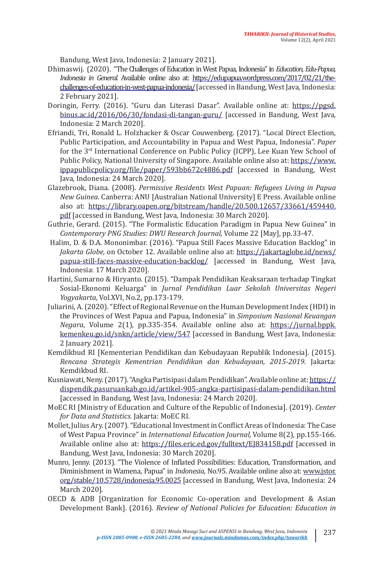Bandung, West Java, Indonesia: 2 January 2021].

- Dhimaswij. (2020). "The Challenges of Education in West Papua, Indonesia" in *Education, Edu-Papua, Indonesia in General.* Available online also at: https://edupapua.wordpress.com/2017/02/21/thechallenges-of-education-in-west-papua-indonesia/ [accessed in Bandung, West Java, Indonesia: 2 February 2021].
- Doringin, Ferry. (2016). "Guru dan Literasi Dasar". Available online at: https://pgsd. binus.ac.id/2016/06/30/fondasi-di-tangan-guru/ [accessed in Bandung, West Java, Indonesia: 2 March 2020].
- Efriandi, Tri, Ronald L. Holzhacker & Oscar Couwenberg. (2017). "Local Direct Election, Public Participation, and Accountability in Papua and West Papua, Indonesia". *Paper* for the 3rd International Conference on Public Policy (ICPP), Lee Kuan Yew School of Public Policy, National University of Singapore. Available online also at: https://www. ippapublicpolicy.org/file/paper/593bb672c4886.pdf [accessed in Bandung, West Java, Indonesia: 24 March 2020].
- Glazebrook, Diana. (2008). *Permissive Residents West Papuan: Refugees Living in Papua New Guinea*. Canberra: ANU [Australian National University] E Press. Available online also at: https://library.oapen.org/bitstream/handle/20.500.12657/33661/459440. pdf [accessed in Bandung, West Java, Indonesia: 30 March 2020].
- Guthrie, Gerard. (2015). "The Formalistic Education Paradigm in Papua New Guinea" in *Contemporary PNG Studies: DWU Research Journal,* Volume 22 [May], pp.33-47.
- Halim, D. & D.A. Mononimbar. (2016). "Papua Still Faces Massive Education Backlog" in *Jakarta Globe,* on October 12. Available online also at: https://jakartaglobe.id/news/ papua-still-faces-massive-education-backlog/ [accessed in Bandung, West Java, Indonesia: 17 March 2020].
- Hartini, Sumarno & Hiryanto. (2015). "Dampak Pendidikan Keaksaraan terhadap Tingkat Sosial-Ekonomi Keluarga" in *Jurnal Pendidikan Luar Sekolah Universitas Negeri Yogyakarta*, Vol.XVI, No.2, pp.173-179.
- Juliarini, A. (2020). "Effect of Regional Revenue on the Human Development Index (HDI) in the Provinces of West Papua and Papua, Indonesia" in *Simposium Nasional Keuangan Negara*, Volume 2(1), pp.335-354. Available online also at: https://jurnal.bppk. kemenkeu.go.id/snkn/article/view/547 [accessed in Bandung, West Java, Indonesia: 2 January 2021].
- Kemdikbud RI [Kementerian Pendidikan dan Kebudayaan Republik Indonesia]. (2015). *Rencana Strategis Kementrian Pendidikan dan Kebudayaan, 2015-2019*. Jakarta: Kemdikbud RI.
- Kusniawati, Neny. (2017). "Angka Partisipasi dalam Pendidikan". Available online at: https:// dispendik.pasuruankab.go.id/artikel-905-angka-partisipasi-dalam-pendidikan.html [accessed in Bandung, West Java, Indonesia: 24 March 2020].
- MoEC RI [Ministry of Education and Culture of the Republic of Indonesia]. (2019). *Center for Data and Statistics.* Jakarta: MoEC RI.
- Mollet, Julius Ary. (2007). "Educational Investment in Conflict Areas of Indonesia: The Case of West Papua Province" in *International Education Journal,* Volume 8(2), pp.155-166. Available online also at: https://files.eric.ed.gov/fulltext/EJ834158.pdf [accessed in Bandung, West Java, Indonesia: 30 March 2020].
- Munro, Jenny. (2013). "The Violence of Inflated Possibilities: Education, Transformation, and Diminishment in Wamena, Papua" in *Indonesia*, No.95. Available online also at: www.jstor. org/stable/10.5728/indonesia.95.0025 [accessed in Bandung, West Java, Indonesia: 24 March 2020].
- OECD & ADB [Organization for Economic Co-operation and Development & Asian Development Bank]. (2016)*. Review of National Policies for Education: Education in*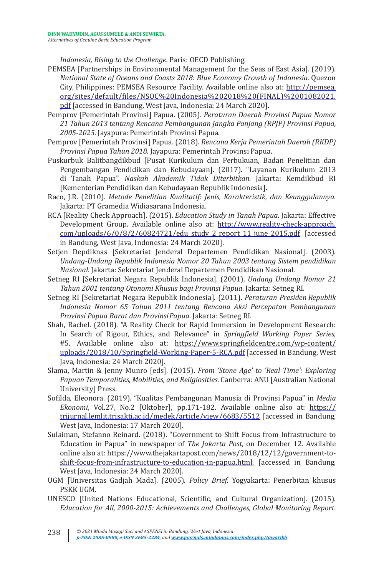*Indonesia, Rising to the Challenge.* Paris: OECD Publishing.

- PEMSEA [Partnerships in Environmental Management for the Seas of East Asia]. (2019). *National State of Oceans and Coasts 2018: Blue Economy Growth of Indonesia*. Quezon City, Philippines: PEMSEA Resource Facility. Available online also at: http://pemsea. org/sites/default/files/NSOC%20Indonesia%202018%20(FINAL)%2001082021. pdf [accessed in Bandung, West Java, Indonesia: 24 March 2020].
- Pemprov [Pemerintah Provinsi] Papua. (2005). *Peraturan Daerah Provinsi Papua Nomor 21 Tahun 2013 tentang Rencana Pembangunan Jangka Panjang (RPJP) Provinsi Papua, 2005-2025*. Jayapura: Pemerintah Provinsi Papua.
- Pemprov [Pemerintah Provinsi] Papua. (2018). *Rencana Kerja Pemerintah Daerah (RKDP) Provinsi Papua Tahun 2018.* Jayapura: Pemerintah Provinsi Papua.
- Puskurbuk Balitbangdikbud [Pusat Kurikulum dan Perbukuan, Badan Penelitian dan Pengembangan Pendidikan dan Kebudayaan]. (2017). "Layanan Kurikulum 2013 di Tanah Papua". *Naskah Akademik Tidak Diterbitkan*. Jakarta: Kemdikbud RI [Kementerian Pendidikan dan Kebudayaan Republik Indonesia].
- Raco, J.R. (2010). *Metode Penelitian Kualitatif: Jenis, Karakteristik, dan Keunggulannya*. Jakarta: PT Gramedia Widiasarana Indonesia.
- RCA [Reality Check Approach]. (2015). *Education Study in Tanah Papua*. Jakarta: Effective Development Group. Available online also at: http://www.reality-check-approach. com/uploads/6/0/8/2/60824721/edu\_study\_2\_report\_11\_june\_2015.pdf [accessed in Bandung, West Java, Indonesia: 24 March 2020].
- Setjen Depdiknas [Sekretariat Jenderal Departemen Pendidikan Nasional]. (2003). *Undang-Undang Republik Indonesia Nomor 20 Tahun 2003 tentang Sistem pendidikan Nasional*. Jakarta: Sekretariat Jenderal Departemen Pendidikan Nasional.
- Setneg RI [Sekretariat Negara Republik Indonesia]. (2001). *Undang Undang Nomor 21 Tahun 2001 tentang Otonomi Khusus bagi Provinsi Papua*. Jakarta: Setneg RI.
- Setneg RI [Sekretariat Negara Republik Indonesia]. (2011). *Peraturan Presiden Republik Indonesia Nomor 65 Tahun 2011 tentang Rencana Aksi Percepatan Pembangunan Provinsi Papua Barat dan Provinsi Papua.* Jakarta: Setneg RI.
- Shah, Rachel. (2018). "A Reality Check for Rapid Immersion in Development Research: In Search of Rigour, Ethics, and Relevance" in *Springfield Working Paper Series*, #5. Available online also at: https://www.springfieldcentre.com/wp-content/ uploads/2018/10/Springfield-Working-Paper-5-RCA.pdf [accessed in Bandung, West Java, Indonesia: 24 March 2020].
- Slama, Martin & Jenny Munro [eds]. (2015). *From 'Stone Age' to 'Real Time': Exploring Papuan Temporalities, Mobilities, and Religiosities*. Canberra: ANU [Australian National University] Press.
- Sofilda, Eleonora. (2019). "Kualitas Pembangunan Manusia di Provinsi Papua" in *Media Ekonomi*, Vol.27, No.2 [Oktober], pp.171-182. Available online also at: https:// trijurnal.lemlit.trisakti.ac.id/medek/article/view/6683/5512 [accessed in Bandung, West Java, Indonesia: 17 March 2020].
- Sulaiman, Stefanno Reinard. (2018). "Government to Shift Focus from Infrastructure to Education in Papua" in newspaper of *The Jakarta Post*, on December 12. Available online also at: https://www.thejakartapost.com/news/2018/12/12/government-toshift-focus-from-infrastructure-to-education-in-papua.html. [accessed in Bandung, West Java, Indonesia: 24 March 2020].
- UGM [Universitas Gadjah Mada]. (2005). *Policy Brief*. Yogyakarta: Penerbitan khusus PSKK UGM.
- UNESCO [United Nations Educational, Scientific, and Cultural Organization]. (2015). *Education for All, 2000-2015: Achievements and Challenges, Global Monitoring Report.*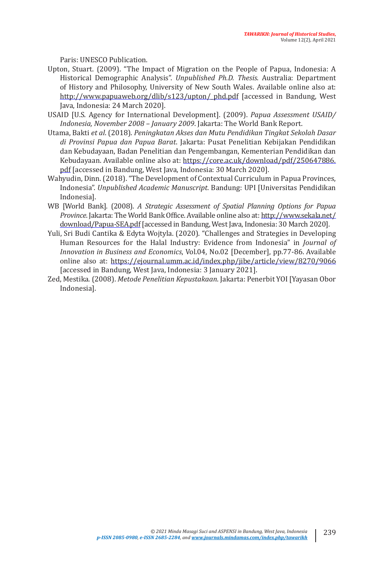Paris: UNESCO Publication.

- Upton, Stuart. (2009). "The Impact of Migration on the People of Papua, Indonesia: A Historical Demographic Analysis". *Unpublished Ph.D. Thesis*. Australia: Department of History and Philosophy, University of New South Wales. Available online also at: http://www.papuaweb.org/dlib/s123/upton/\_phd.pdf [accessed in Bandung, West Java, Indonesia: 24 March 2020].
- USAID [U.S. Agency for International Development]. (2009). *Papua Assessment USAID/ Indonesia, November 2008 – January 2009*. Jakarta: The World Bank Report.
- Utama, Bakti *et al*. (2018). *Peningkatan Akses dan Mutu Pendidikan Tingkat Sekolah Dasar di Provinsi Papua dan Papua Barat*. Jakarta: Pusat Penelitian Kebijakan Pendidikan dan Kebudayaan, Badan Penelitian dan Pengembangan, Kementerian Pendidikan dan Kebudayaan. Available online also at: https://core.ac.uk/download/pdf/250647886. pdf [accessed in Bandung, West Java, Indonesia: 30 March 2020].
- Wahyudin, Dinn. (2018). "The Development of Contextual Curriculum in Papua Provinces, Indonesia". *Unpublished Academic Manuscript.* Bandung: UPI [Universitas Pendidikan Indonesia].
- WB [World Bank]. (2008). *A Strategic Assessment of Spatial Planning Options for Papua Province*. Jakarta: The World Bank Office. Available online also at: http://www.sekala.net/ download/Papua-SEA.pdf [accessed in Bandung, West Java, Indonesia: 30 March 2020].
- Yuli, Sri Budi Cantika & Edyta Wojtyla. (2020). "Challenges and Strategies in Developing Human Resources for the Halal Industry: Evidence from Indonesia" in *Journal of Innovation in Business and Economics*, Vol.04, No.02 [December], pp.77-86. Available online also at: https://ejournal.umm.ac.id/index.php/jibe/article/view/8270/9066 [accessed in Bandung, West Java, Indonesia: 3 January 2021].
- Zed, Mestika. (2008). *Metode Penelitian Kepustakaan*. Jakarta: Penerbit YOI [Yayasan Obor Indonesia].